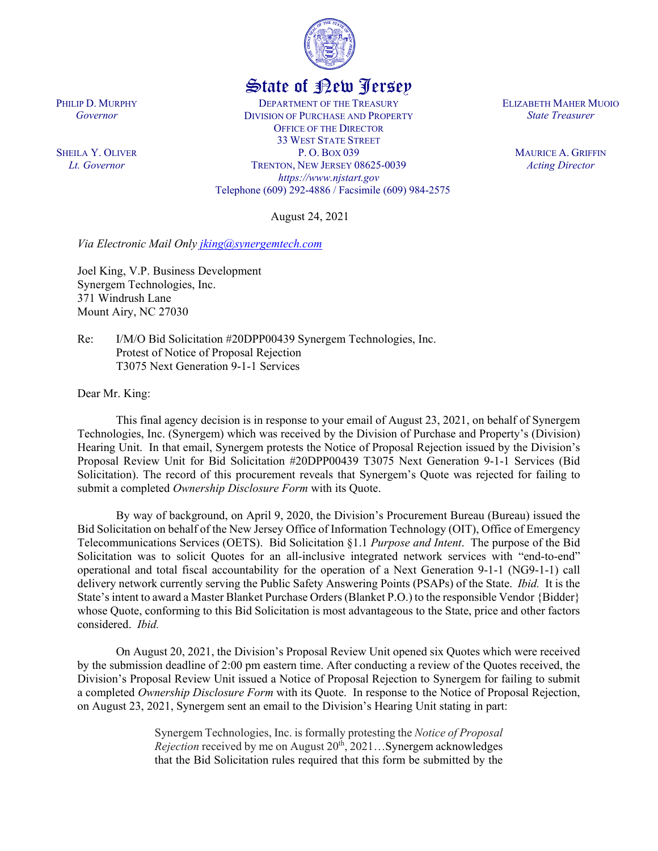

## State of New Jersey

DEPARTMENT OF THE TREASURY DIVISION OF PURCHASE AND PROPERTY OFFICE OF THE DIRECTOR 33 WEST STATE STREET P. O. BOX 039 TRENTON, NEW JERSEY 08625-0039 *https://www.njstart.gov* Telephone (609) 292-4886 / Facsimile (609) 984-2575

August 24, 2021

*Via Electronic Mail Only [jking@synergemtech.com](mailto:jking@synergemtech.com)*

Joel King, V.P. Business Development Synergem Technologies, Inc. 371 Windrush Lane Mount Airy, NC 27030

Re: I/M/O Bid Solicitation #20DPP00439 Synergem Technologies, Inc. Protest of Notice of Proposal Rejection T3075 Next Generation 9-1-1 Services

Dear Mr. King:

PHILIP D. MURPHY *Governor*

SHEILA Y. OLIVER *Lt. Governor*

> This final agency decision is in response to your email of August 23, 2021, on behalf of Synergem Technologies, Inc. (Synergem) which was received by the Division of Purchase and Property's (Division) Hearing Unit. In that email, Synergem protests the Notice of Proposal Rejection issued by the Division's Proposal Review Unit for Bid Solicitation #20DPP00439 T3075 Next Generation 9-1-1 Services (Bid Solicitation). The record of this procurement reveals that Synergem's Quote was rejected for failing to submit a completed *Ownership Disclosure Form* with its Quote.

> By way of background, on April 9, 2020, the Division's Procurement Bureau (Bureau) issued the Bid Solicitation on behalf of the New Jersey Office of Information Technology (OIT), Office of Emergency Telecommunications Services (OETS). Bid Solicitation §1.1 *Purpose and Intent*. The purpose of the Bid Solicitation was to solicit Quotes for an all-inclusive integrated network services with "end-to-end" operational and total fiscal accountability for the operation of a Next Generation 9-1-1 (NG9-1-1) call delivery network currently serving the Public Safety Answering Points (PSAPs) of the State. *Ibid.* It is the State's intent to award a Master Blanket Purchase Orders (Blanket P.O.) to the responsible Vendor {Bidder} whose Quote, conforming to this Bid Solicitation is most advantageous to the State, price and other factors considered. *Ibid.*

> On August 20, 2021, the Division's Proposal Review Unit opened six Quotes which were received by the submission deadline of 2:00 pm eastern time. After conducting a review of the Quotes received, the Division's Proposal Review Unit issued a Notice of Proposal Rejection to Synergem for failing to submit a completed *Ownership Disclosure Form* with its Quote. In response to the Notice of Proposal Rejection, on August 23, 2021, Synergem sent an email to the Division's Hearing Unit stating in part:

> > Synergem Technologies, Inc. is formally protesting the *Notice of Proposal Rejection* received by me on August  $20<sup>th</sup>$ ,  $2021...$  Synergem acknowledges that the Bid Solicitation rules required that this form be submitted by the

ELIZABETH MAHER MUOIO *State Treasurer*

> MAURICE A. GRIFFIN *Acting Director*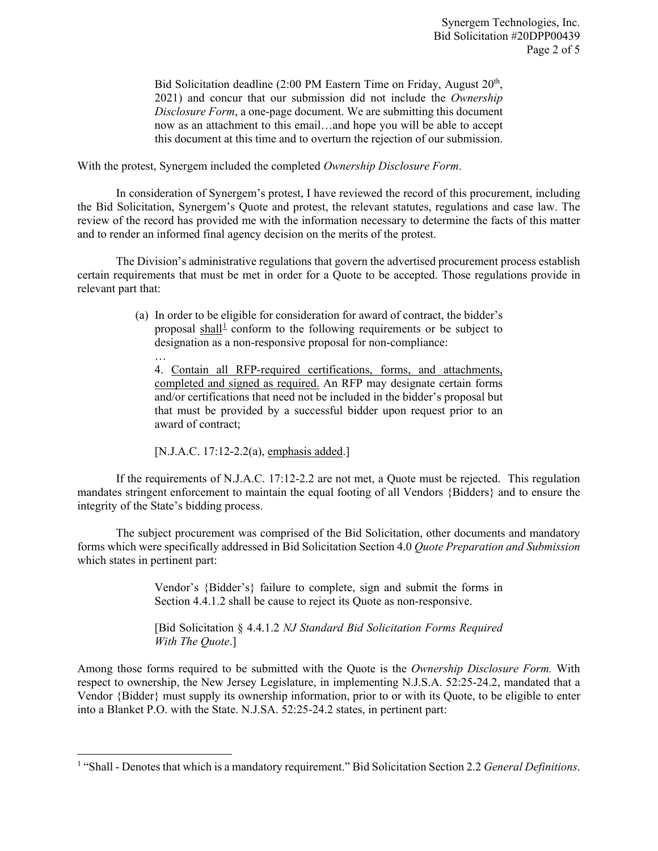Bid Solicitation deadline  $(2:00 \text{ PM Eastern Time on Friday},$  August  $20^{\text{th}}$ , 2021) and concur that our submission did not include the *Ownership Disclosure Form*, a one-page document. We are submitting this document now as an attachment to this email…and hope you will be able to accept this document at this time and to overturn the rejection of our submission.

With the protest, Synergem included the completed *Ownership Disclosure Form*.

In consideration of Synergem's protest, I have reviewed the record of this procurement, including the Bid Solicitation, Synergem's Quote and protest, the relevant statutes, regulations and case law. The review of the record has provided me with the information necessary to determine the facts of this matter and to render an informed final agency decision on the merits of the protest.

The Division's administrative regulations that govern the advertised procurement process establish certain requirements that must be met in order for a Quote to be accepted. Those regulations provide in relevant part that:

> (a) In order to be eligible for consideration for award of contract, the bidder's proposal  $\frac{\text{shall}^{\frac{1}{2}}}{\text{conform}}$  $\frac{\text{shall}^{\frac{1}{2}}}{\text{conform}}$  $\frac{\text{shall}^{\frac{1}{2}}}{\text{conform}}$  to the following requirements or be subject to designation as a non-responsive proposal for non-compliance:

… 4. Contain all RFP-required certifications, forms, and attachments, completed and signed as required. An RFP may designate certain forms and/or certifications that need not be included in the bidder's proposal but that must be provided by a successful bidder upon request prior to an award of contract;

[N.J.A.C. 17:12-2.2(a), emphasis added.]

l

If the requirements of N.J.A.C. 17:12-2.2 are not met, a Quote must be rejected. This regulation mandates stringent enforcement to maintain the equal footing of all Vendors {Bidders} and to ensure the integrity of the State's bidding process.

The subject procurement was comprised of the Bid Solicitation, other documents and mandatory forms which were specifically addressed in Bid Solicitation Section 4.0 *Quote Preparation and Submission* which states in pertinent part:

> Vendor's {Bidder's} failure to complete, sign and submit the forms in Section 4.4.1.2 shall be cause to reject its Quote as non-responsive.

> [Bid Solicitation § 4.4.1.2 *NJ Standard Bid Solicitation Forms Required With The Quote*.]

Among those forms required to be submitted with the Quote is the *Ownership Disclosure Form.* With respect to ownership, the New Jersey Legislature, in implementing N.J.S.A. 52:25-24.2, mandated that a Vendor {Bidder} must supply its ownership information, prior to or with its Quote, to be eligible to enter into a Blanket P.O. with the State. N.J.SA. 52:25-24.2 states, in pertinent part:

<span id="page-1-0"></span><sup>1</sup> "Shall - Denotes that which is a mandatory requirement." Bid Solicitation Section 2.2 *General Definitions*.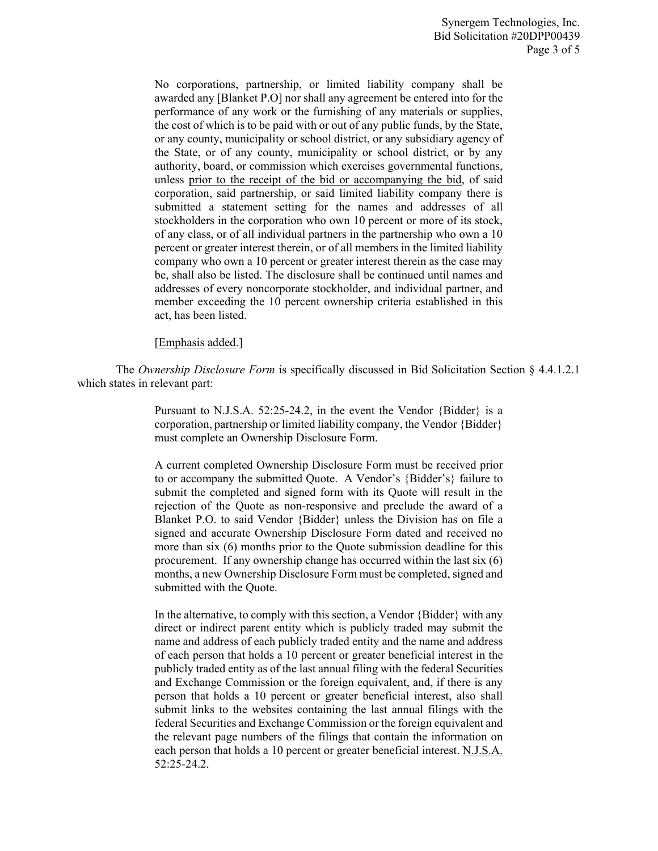No corporations, partnership, or limited liability company shall be awarded any [Blanket P.O] nor shall any agreement be entered into for the performance of any work or the furnishing of any materials or supplies, the cost of which is to be paid with or out of any public funds, by the State, or any county, municipality or school district, or any subsidiary agency of the State, or of any county, municipality or school district, or by any authority, board, or commission which exercises governmental functions, unless prior to the receipt of the bid or accompanying the bid, of said corporation, said partnership, or said limited liability company there is submitted a statement setting for the names and addresses of all stockholders in the corporation who own 10 percent or more of its stock, of any class, or of all individual partners in the partnership who own a 10 percent or greater interest therein, or of all members in the limited liability company who own a 10 percent or greater interest therein as the case may be, shall also be listed. The disclosure shall be continued until names and addresses of every noncorporate stockholder, and individual partner, and member exceeding the 10 percent ownership criteria established in this act, has been listed.

## [Emphasis added.]

The *Ownership Disclosure Form* is specifically discussed in Bid Solicitation Section § 4.4.1.2.1 which states in relevant part:

> Pursuant to N.J.S.A. 52:25-24.2, in the event the Vendor {Bidder} is a corporation, partnership or limited liability company, the Vendor {Bidder} must complete an Ownership Disclosure Form.

> A current completed Ownership Disclosure Form must be received prior to or accompany the submitted Quote. A Vendor's {Bidder's} failure to submit the completed and signed form with its Quote will result in the rejection of the Quote as non-responsive and preclude the award of a Blanket P.O. to said Vendor {Bidder} unless the Division has on file a signed and accurate Ownership Disclosure Form dated and received no more than six (6) months prior to the Quote submission deadline for this procurement. If any ownership change has occurred within the last six (6) months, a new Ownership Disclosure Form must be completed, signed and submitted with the Quote.

> In the alternative, to comply with this section, a Vendor {Bidder} with any direct or indirect parent entity which is publicly traded may submit the name and address of each publicly traded entity and the name and address of each person that holds a 10 percent or greater beneficial interest in the publicly traded entity as of the last annual filing with the federal Securities and Exchange Commission or the foreign equivalent, and, if there is any person that holds a 10 percent or greater beneficial interest, also shall submit links to the websites containing the last annual filings with the federal Securities and Exchange Commission or the foreign equivalent and the relevant page numbers of the filings that contain the information on each person that holds a 10 percent or greater beneficial interest. N.J.S.A. 52:25-24.2.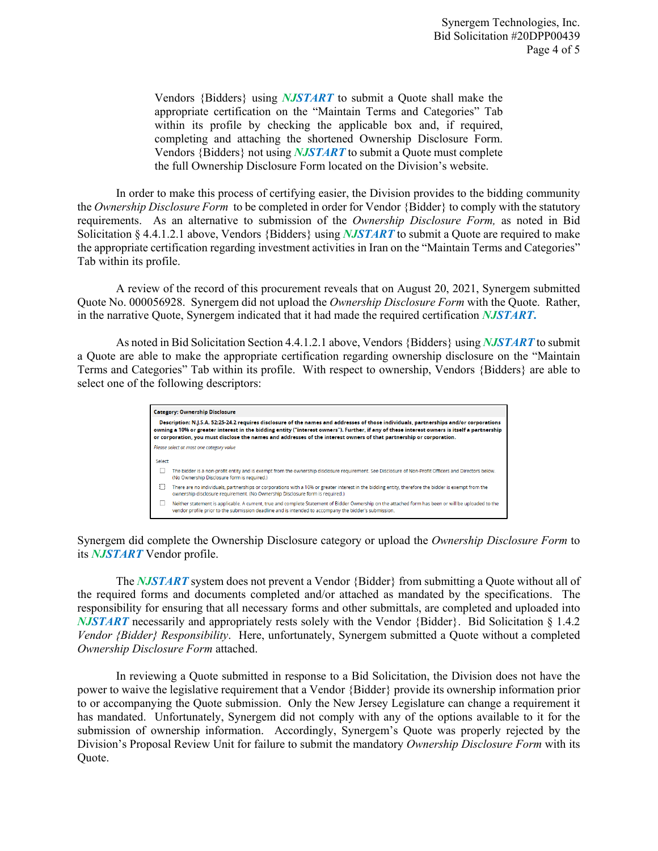Vendors {Bidders} using *NJSTART* to submit a Quote shall make the appropriate certification on the "Maintain Terms and Categories" Tab within its profile by checking the applicable box and, if required, completing and attaching the shortened Ownership Disclosure Form. Vendors {Bidders} not using *NJSTART* to submit a Quote must complete the full Ownership Disclosure Form located on the Division's website.

In order to make this process of certifying easier, the Division provides to the bidding community the *Ownership Disclosure Form* to be completed in order for Vendor {Bidder} to comply with the statutory requirements. As an alternative to submission of the *Ownership Disclosure Form,* as noted in Bid Solicitation § 4.4.1.2.1 above, Vendors {Bidders} using *NJSTART* to submit a Quote are required to make the appropriate certification regarding investment activities in Iran on the "Maintain Terms and Categories" Tab within its profile.

A review of the record of this procurement reveals that on August 20, 2021, Synergem submitted Quote No. 000056928. Synergem did not upload the *Ownership Disclosure Form* with the Quote. Rather, in the narrative Quote, Synergem indicated that it had made the required certification *NJSTART***.** 

As noted in Bid Solicitation Section 4.4.1.2.1 above, Vendors {Bidders} using *NJSTART* to submit a Quote are able to make the appropriate certification regarding ownership disclosure on the "Maintain Terms and Categories" Tab within its profile. With respect to ownership, Vendors {Bidders} are able to select one of the following descriptors:



Synergem did complete the Ownership Disclosure category or upload the *Ownership Disclosure Form* to its *NJSTART* Vendor profile.

The *NJSTART* system does not prevent a Vendor {Bidder} from submitting a Quote without all of the required forms and documents completed and/or attached as mandated by the specifications. The responsibility for ensuring that all necessary forms and other submittals, are completed and uploaded into *NJSTART* necessarily and appropriately rests solely with the Vendor {Bidder}. Bid Solicitation § 1.4.2 *Vendor {Bidder} Responsibility*. Here, unfortunately, Synergem submitted a Quote without a completed *Ownership Disclosure Form* attached.

In reviewing a Quote submitted in response to a Bid Solicitation, the Division does not have the power to waive the legislative requirement that a Vendor {Bidder} provide its ownership information prior to or accompanying the Quote submission. Only the New Jersey Legislature can change a requirement it has mandated. Unfortunately, Synergem did not comply with any of the options available to it for the submission of ownership information. Accordingly, Synergem's Quote was properly rejected by the Division's Proposal Review Unit for failure to submit the mandatory *Ownership Disclosure Form* with its Quote.